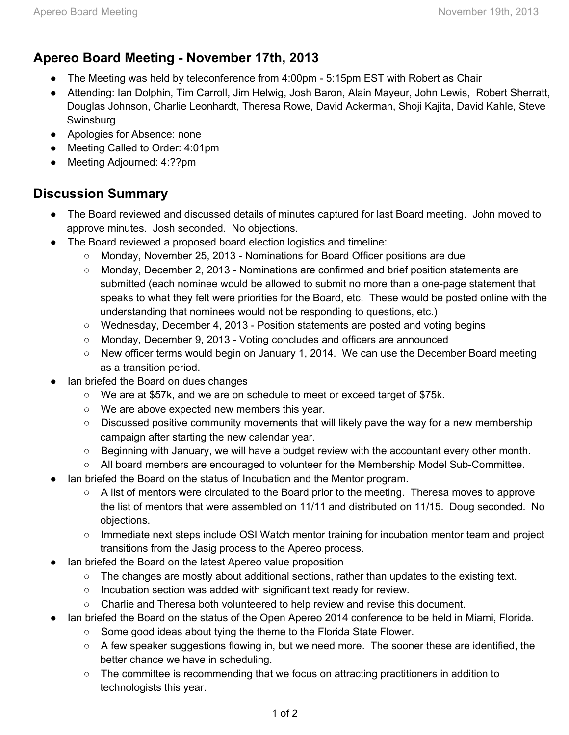## **Apereo Board Meeting November 17th, 2013**

- The Meeting was held by teleconference from 4:00pm 5:15pm EST with Robert as Chair
- Attending: Ian Dolphin, Tim Carroll, Jim Helwig, Josh Baron, Alain Mayeur, John Lewis, Robert Sherratt, Douglas Johnson, Charlie Leonhardt, Theresa Rowe, David Ackerman, Shoji Kajita, David Kahle, Steve Swinsburg
- Apologies for Absence: none
- Meeting Called to Order: 4:01pm
- Meeting Adjourned: 4:??pm

## **Discussion Summary**

- The Board reviewed and discussed details of minutes captured for last Board meeting. John moved to approve minutes. Josh seconded. No objections.
- The Board reviewed a proposed board election logistics and timeline:
	- Monday, November 25, 2013 Nominations for Board Officer positions are due
	- Monday, December 2, 2013 Nominations are confirmed and brief position statements are submitted (each nominee would be allowed to submit no more than a one-page statement that speaks to what they felt were priorities for the Board, etc. These would be posted online with the understanding that nominees would not be responding to questions, etc.)
	- Wednesday, December 4, 2013 Position statements are posted and voting begins
	- Monday, December 9, 2013 Voting concludes and officers are announced
	- New officer terms would begin on January 1, 2014. We can use the December Board meeting as a transition period.
- lan briefed the Board on dues changes
	- We are at \$57k, and we are on schedule to meet or exceed target of \$75k.
	- We are above expected new members this year.
	- Discussed positive community movements that will likely pave the way for a new membership campaign after starting the new calendar year.
	- Beginning with January, we will have a budget review with the accountant every other month.
	- All board members are encouraged to volunteer for the Membership Model Sub-Committee.
- lan briefed the Board on the status of Incubation and the Mentor program.
	- A list of mentors were circulated to the Board prior to the meeting. Theresa moves to approve the list of mentors that were assembled on 11/11 and distributed on 11/15. Doug seconded. No objections.
	- Immediate next steps include OSI Watch mentor training for incubation mentor team and project transitions from the Jasig process to the Apereo process.
- lan briefed the Board on the latest Apereo value proposition
	- The changes are mostly about additional sections, rather than updates to the existing text.
	- Incubation section was added with significant text ready for review.
	- Charlie and Theresa both volunteered to help review and revise this document.
- lan briefed the Board on the status of the Open Apereo 2014 conference to be held in Miami, Florida.
	- Some good ideas about tying the theme to the Florida State Flower.
	- A few speaker suggestions flowing in, but we need more. The sooner these are identified, the better chance we have in scheduling.
	- The committee is recommending that we focus on attracting practitioners in addition to technologists this year.